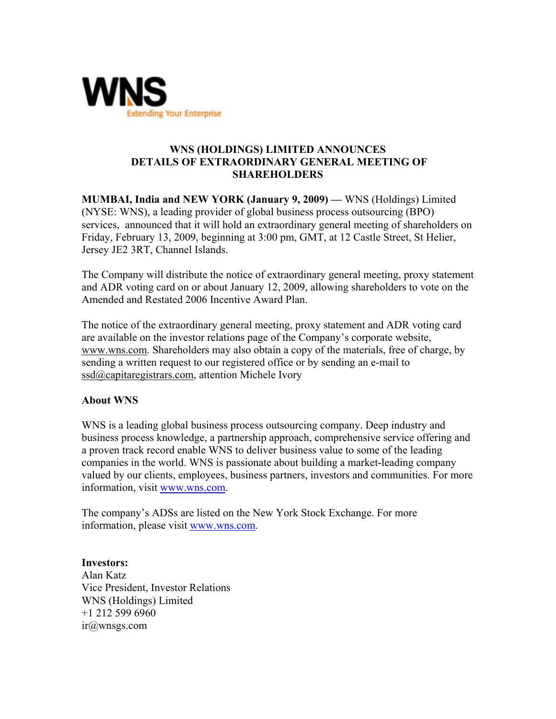

## **WNS (HOLDINGS) LIMITED ANNOUNCES DETAILS OF EXTRAORDINARY GENERAL MEETING OF SHAREHOLDERS**

**MUMBAI, India and NEW YORK (January 9, 2009) —** WNS (Holdings) Limited (NYSE: WNS), a leading provider of global business process outsourcing (BPO) services, announced that it will hold an extraordinary general meeting of shareholders on Friday, February 13, 2009, beginning at 3:00 pm, GMT, at 12 Castle Street, St Helier, Jersey JE2 3RT, Channel Islands.

The Company will distribute the notice of extraordinary general meeting, proxy statement and ADR voting card on or about January 12, 2009, allowing shareholders to vote on the Amended and Restated 2006 Incentive Award Plan.

The notice of the extraordinary general meeting, proxy statement and ADR voting card are available on the investor relations page of the Company's corporate website, www.wns.com. Shareholders may also obtain a copy of the materials, free of charge, by sending a written request to our registered office or by sending an e-mail to ssd@capitaregistrars.com, attention Michele Ivory

## **About WNS**

WNS is a leading global business process outsourcing company. Deep industry and business process knowledge, a partnership approach, comprehensive service offering and a proven track record enable WNS to deliver business value to some of the leading companies in the world. WNS is passionate about building a market-leading company valued by our clients, employees, business partners, investors and communities. For more information, visit www.wns.com.

The company's ADSs are listed on the New York Stock Exchange. For more information, please visit www.wns.com.

**Investors:**  Alan Katz Vice President, Investor Relations WNS (Holdings) Limited +1 212 599 6960 ir@wnsgs.com